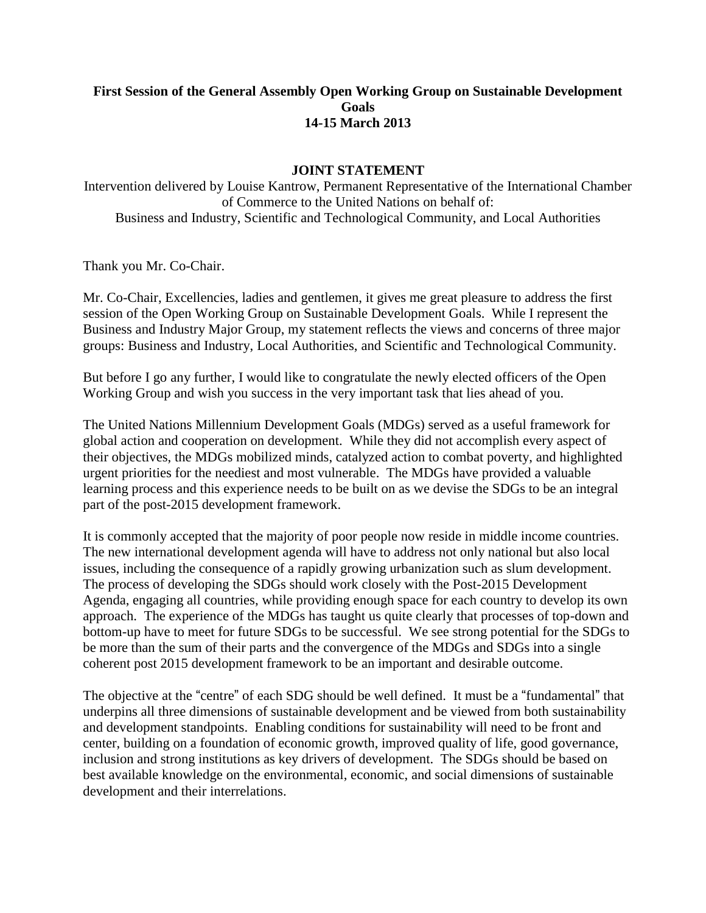## **First Session of the General Assembly Open Working Group on Sustainable Development Goals 14-15 March 2013**

## **JOINT STATEMENT**

Intervention delivered by Louise Kantrow, Permanent Representative of the International Chamber of Commerce to the United Nations on behalf of: Business and Industry, Scientific and Technological Community, and Local Authorities

Thank you Mr. Co-Chair.

Mr. Co-Chair, Excellencies, ladies and gentlemen, it gives me great pleasure to address the first session of the Open Working Group on Sustainable Development Goals. While I represent the Business and Industry Major Group, my statement reflects the views and concerns of three major groups: Business and Industry, Local Authorities, and Scientific and Technological Community.

But before I go any further, I would like to congratulate the newly elected officers of the Open Working Group and wish you success in the very important task that lies ahead of you.

The United Nations Millennium Development Goals (MDGs) served as a useful framework for global action and cooperation on development. While they did not accomplish every aspect of their objectives, the MDGs mobilized minds, catalyzed action to combat poverty, and highlighted urgent priorities for the neediest and most vulnerable. The MDGs have provided a valuable learning process and this experience needs to be built on as we devise the SDGs to be an integral part of the post-2015 development framework.

It is commonly accepted that the majority of poor people now reside in middle income countries. The new international development agenda will have to address not only national but also local issues, including the consequence of a rapidly growing urbanization such as slum development. The process of developing the SDGs should work closely with the Post-2015 Development Agenda, engaging all countries, while providing enough space for each country to develop its own approach. The experience of the MDGs has taught us quite clearly that processes of top-down and bottom-up have to meet for future SDGs to be successful. We see strong potential for the SDGs to be more than the sum of their parts and the convergence of the MDGs and SDGs into a single coherent post 2015 development framework to be an important and desirable outcome.

The objective at the "centre" of each SDG should be well defined. It must be a "fundamental" that underpins all three dimensions of sustainable development and be viewed from both sustainability and development standpoints. Enabling conditions for sustainability will need to be front and center, building on a foundation of economic growth, improved quality of life, good governance, inclusion and strong institutions as key drivers of development. The SDGs should be based on best available knowledge on the environmental, economic, and social dimensions of sustainable development and their interrelations.